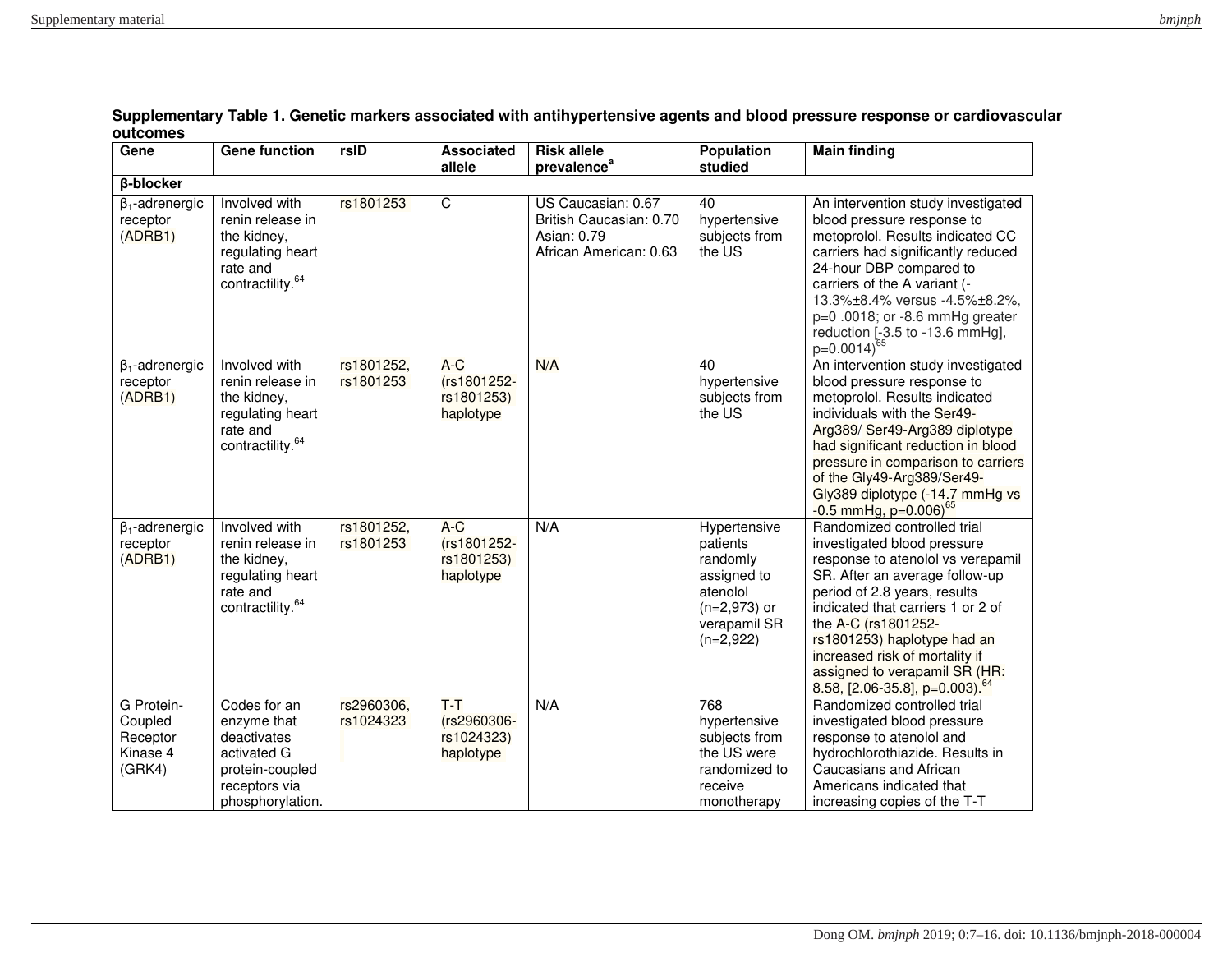| Gene                                                    | <b>Gene function</b>                                                                                              | rsID                    | Associated<br>allele                            | <b>Risk allele</b><br>prevalence <sup>a</sup>                                          | <b>Population</b><br>studied                                                                                     | <b>Main finding</b>                                                                                                                                                                                                                                                                                                                                                              |  |  |  |
|---------------------------------------------------------|-------------------------------------------------------------------------------------------------------------------|-------------------------|-------------------------------------------------|----------------------------------------------------------------------------------------|------------------------------------------------------------------------------------------------------------------|----------------------------------------------------------------------------------------------------------------------------------------------------------------------------------------------------------------------------------------------------------------------------------------------------------------------------------------------------------------------------------|--|--|--|
| <b>ß-blocker</b>                                        |                                                                                                                   |                         |                                                 |                                                                                        |                                                                                                                  |                                                                                                                                                                                                                                                                                                                                                                                  |  |  |  |
| $\beta_1$ -adrenergic<br>receptor<br>(ADRB1)            | Involved with<br>renin release in<br>the kidney,<br>regulating heart<br>rate and<br>contractility. <sup>64</sup>  | rs1801253               | $\overline{\mathsf{C}}$                         | US Caucasian: 0.67<br>British Caucasian: 0.70<br>Asian: 0.79<br>African American: 0.63 | 40<br>hypertensive<br>subjects from<br>the US                                                                    | An intervention study investigated<br>blood pressure response to<br>metoprolol. Results indicated CC<br>carriers had significantly reduced<br>24-hour DBP compared to<br>carriers of the A variant (-<br>13.3%±8.4% versus -4.5%±8.2%,<br>$p=0.0018$ ; or -8.6 mmHg greater<br>reduction [-3.5 to -13.6 mmHg],<br>$p=0.0014$ <sup>65</sup>                                       |  |  |  |
| $\beta_1$ -adrenergic<br>receptor<br>(ADRB1)            | Involved with<br>renin release in<br>the kidney,<br>regulating heart<br>rate and<br>contractility. $^{64}$        | rs1801252,<br>rs1801253 | $A-C$<br>(rs1801252-<br>rs1801253)<br>haplotype | N/A                                                                                    | 40<br>hypertensive<br>subjects from<br>the US                                                                    | An intervention study investigated<br>blood pressure response to<br>metoprolol. Results indicated<br>individuals with the Ser49-<br>Arg389/ Ser49-Arg389 diplotype<br>had significant reduction in blood<br>pressure in comparison to carriers<br>of the Gly49-Arg389/Ser49-<br>Gly389 diplotype (-14.7 mmHg vs<br>$-0.5$ mmHg, p=0.006) <sup>65</sup>                           |  |  |  |
| $\beta_1$ -adrenergic<br>receptor<br>(ADRB1)            | Involved with<br>renin release in<br>the kidney,<br>regulating heart<br>rate and<br>contractility. $64$           | rs1801252,<br>rs1801253 | $A-C$<br>(rs1801252-<br>rs1801253)<br>haplotype | N/A                                                                                    | Hypertensive<br>patients<br>randomly<br>assigned to<br>atenolol<br>$(n=2,973)$ or<br>verapamil SR<br>$(n=2,922)$ | Randomized controlled trial<br>investigated blood pressure<br>response to atenolol vs verapamil<br>SR. After an average follow-up<br>period of 2.8 years, results<br>indicated that carriers 1 or 2 of<br>the A-C (rs1801252-<br>rs1801253) haplotype had an<br>increased risk of mortality if<br>assigned to verapamil SR (HR:<br>$8.58$ , [2.06-35.8], p=0.003). <sup>64</sup> |  |  |  |
| G Protein-<br>Coupled<br>Receptor<br>Kinase 4<br>(GRK4) | Codes for an<br>enzyme that<br>deactivates<br>activated G<br>protein-coupled<br>receptors via<br>phosphorylation. | rs2960306,<br>rs1024323 | $T-T$<br>(rs2960306-<br>rs1024323)<br>haplotype | N/A                                                                                    | 768<br>hypertensive<br>subjects from<br>the US were<br>randomized to<br>receive<br>monotherapy                   | Randomized controlled trial<br>investigated blood pressure<br>response to atenolol and<br>hydrochlorothiazide. Results in<br>Caucasians and African<br>Americans indicated that<br>increasing copies of the T-T                                                                                                                                                                  |  |  |  |

## **Supplementary Table 1. Genetic markers associated with antihypertensive agents and blood pressure response or cardiovascular outcomes**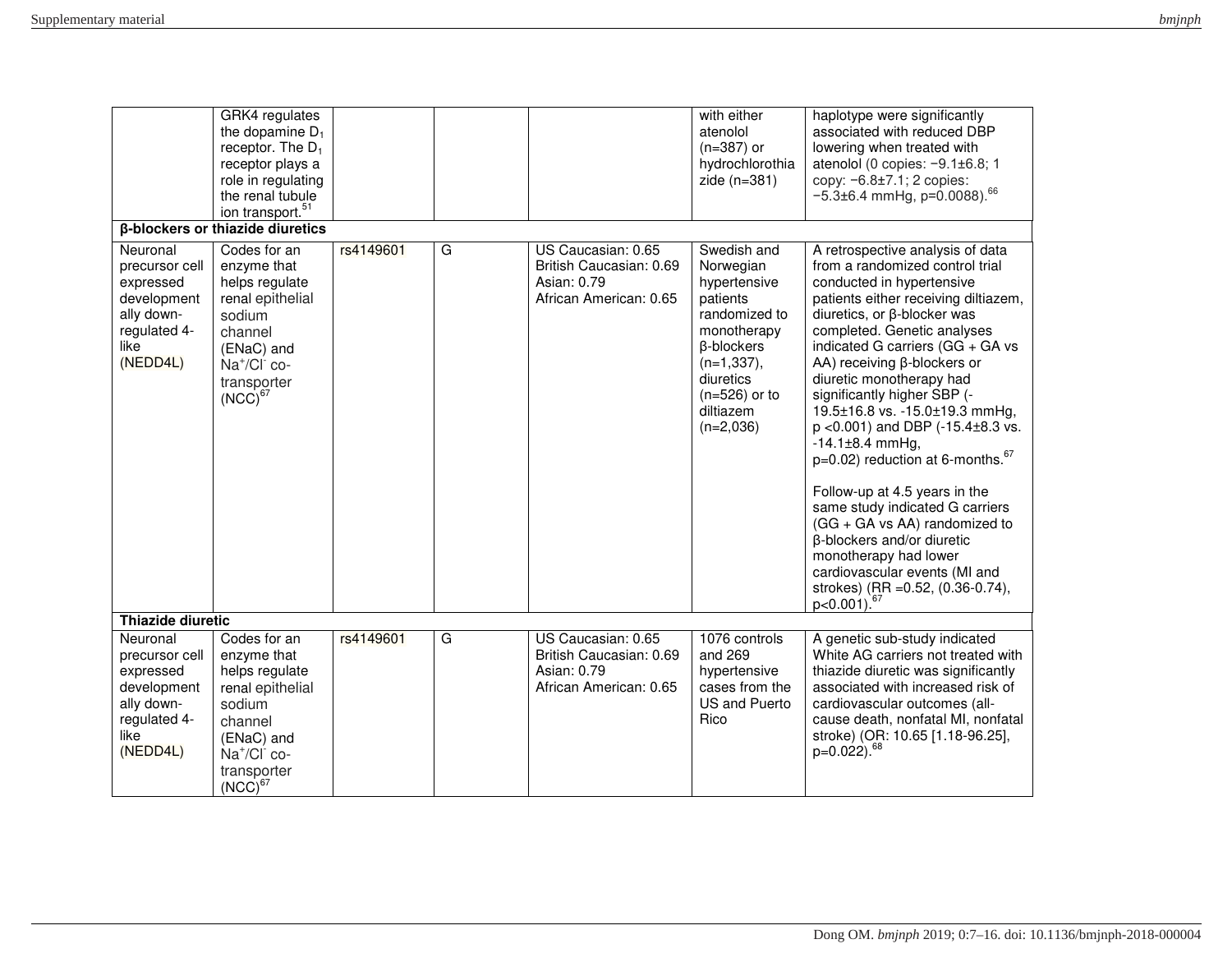| $\sim$<br>Supplementary material | bmjnph |
|----------------------------------|--------|
|                                  |        |
|                                  |        |

|                                                                                                          | GRK4 regulates<br>the dopamine $D_1$<br>receptor. The $D_1$<br>receptor plays a<br>role in regulating<br>the renal tubule<br>ion transport. <sup>51</sup>                   |           |   |                                                                                        | with either<br>atenolol<br>$(n=387)$ or<br>hydrochlorothia<br>zide $(n=381)$                                                                                                           | haplotype were significantly<br>associated with reduced DBP<br>lowering when treated with<br>atenolol (0 copies: $-9.1\pm6.8$ ; 1<br>copy: $-6.8 \pm 7.1$ ; 2 copies:<br>$-5.3\pm6.4$ mmHg, p=0.0088). <sup>66</sup>                                                                                                                                                                                                                                                                                                                                                                                                                                                                                                                                        |
|----------------------------------------------------------------------------------------------------------|-----------------------------------------------------------------------------------------------------------------------------------------------------------------------------|-----------|---|----------------------------------------------------------------------------------------|----------------------------------------------------------------------------------------------------------------------------------------------------------------------------------------|-------------------------------------------------------------------------------------------------------------------------------------------------------------------------------------------------------------------------------------------------------------------------------------------------------------------------------------------------------------------------------------------------------------------------------------------------------------------------------------------------------------------------------------------------------------------------------------------------------------------------------------------------------------------------------------------------------------------------------------------------------------|
|                                                                                                          | β-blockers or thiazide diuretics                                                                                                                                            |           |   |                                                                                        |                                                                                                                                                                                        |                                                                                                                                                                                                                                                                                                                                                                                                                                                                                                                                                                                                                                                                                                                                                             |
| Neuronal<br>precursor cell<br>expressed<br>development<br>ally down-<br>regulated 4-<br>like<br>(NEDD4L) | Codes for an<br>enzyme that<br>helps regulate<br>renal epithelial<br>sodium<br>channel<br>(ENaC) and<br>$Na^+/Cl^-$ co-<br>transporter<br>$(NCC)^{67}$                      | rs4149601 | G | US Caucasian: 0.65<br>British Caucasian: 0.69<br>Asian: 0.79<br>African American: 0.65 | Swedish and<br>Norwegian<br>hypertensive<br>patients<br>randomized to<br>monotherapy<br><b>ß-blockers</b><br>$(n=1, 337),$<br>diuretics<br>$(n=526)$ or to<br>diltiazem<br>$(n=2,036)$ | A retrospective analysis of data<br>from a randomized control trial<br>conducted in hypertensive<br>patients either receiving diltiazem,<br>diuretics, or β-blocker was<br>completed. Genetic analyses<br>indicated G carriers (GG + GA vs<br>AA) receiving β-blockers or<br>diuretic monotherapy had<br>significantly higher SBP (-<br>19.5±16.8 vs. -15.0±19.3 mmHg,<br>$p$ <0.001) and DBP (-15.4 $\pm$ 8.3 vs.<br>$-14.1 \pm 8.4$ mmHg,<br>p=0.02) reduction at 6-months. <sup>67</sup><br>Follow-up at 4.5 years in the<br>same study indicated G carriers<br>(GG + GA vs AA) randomized to<br>β-blockers and/or diuretic<br>monotherapy had lower<br>cardiovascular events (MI and<br>strokes) (RR = 0.52, (0.36-0.74),<br>$p<0.001$ ). <sup>67</sup> |
| <b>Thiazide diuretic</b>                                                                                 |                                                                                                                                                                             |           |   |                                                                                        |                                                                                                                                                                                        |                                                                                                                                                                                                                                                                                                                                                                                                                                                                                                                                                                                                                                                                                                                                                             |
| Neuronal<br>precursor cell<br>expressed<br>development<br>ally down-<br>regulated 4-<br>like<br>(NEDD4L) | Codes for an<br>enzyme that<br>helps regulate<br>renal epithelial<br>sodium<br>channel<br>(ENaC) and<br>Na <sup>+</sup> /Cl <sup>-</sup> co-<br>transporter<br>$(NCC)^{67}$ | rs4149601 | G | US Caucasian: 0.65<br>British Caucasian: 0.69<br>Asian: 0.79<br>African American: 0.65 | 1076 controls<br>and 269<br>hypertensive<br>cases from the<br><b>US and Puerto</b><br>Rico                                                                                             | A genetic sub-study indicated<br>White AG carriers not treated with<br>thiazide diuretic was significantly<br>associated with increased risk of<br>cardiovascular outcomes (all-<br>cause death, nonfatal MI, nonfatal<br>stroke) (OR: 10.65 [1.18-96.25],<br>p=0.022). <sup>68</sup>                                                                                                                                                                                                                                                                                                                                                                                                                                                                       |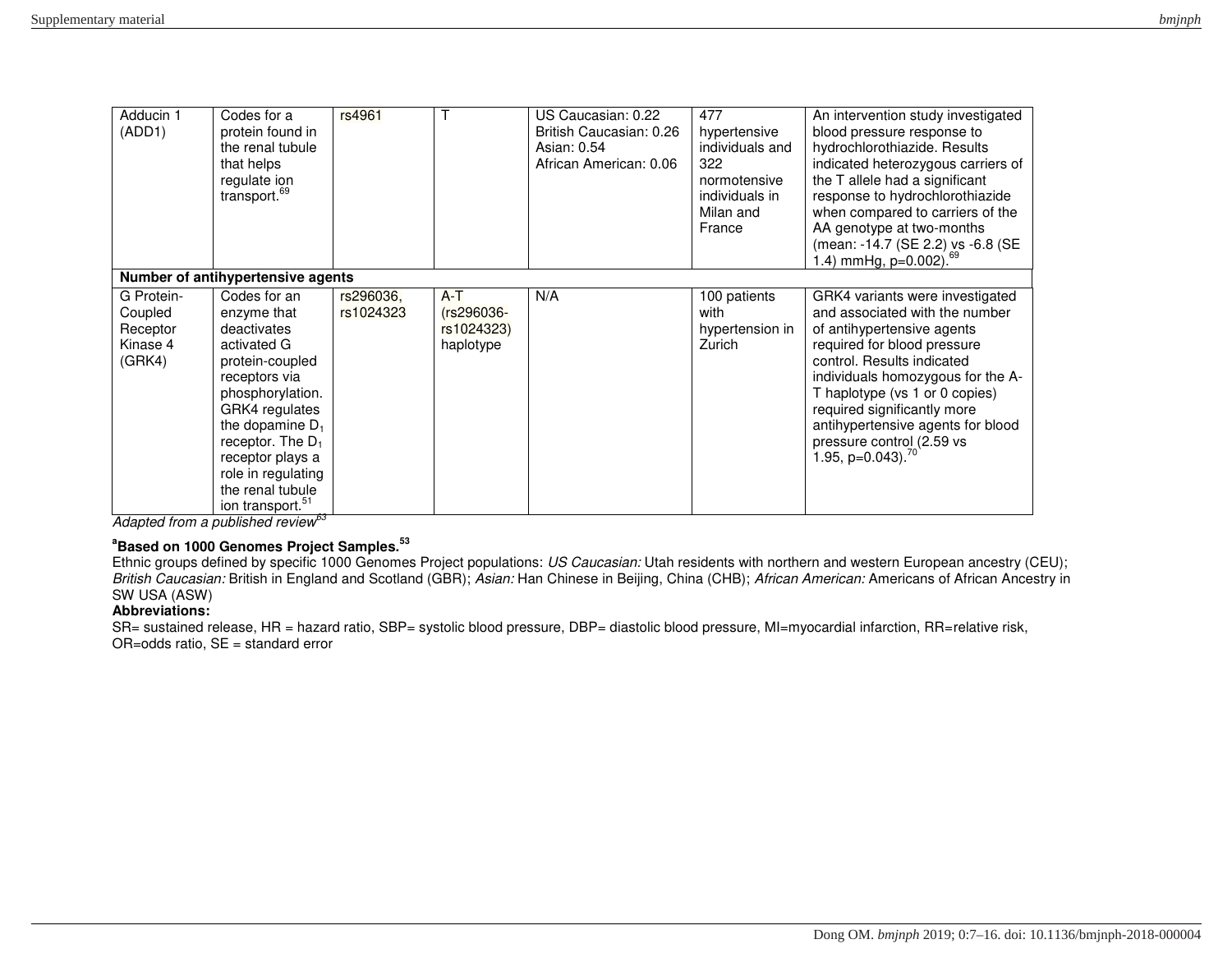| Adducin 1<br>(ADD1)                                     | Codes for a<br>protein found in<br>the renal tubule<br>that helps<br>regulate ion<br>transport. <sup>69</sup>                                                                                                                                                                  | rs4961                 |                                                | US Caucasian: 0.22<br>British Caucasian: 0.26<br>Asian: 0.54<br>African American: 0.06 | 477<br>hypertensive<br>individuals and<br>322<br>normotensive<br>individuals in<br>Milan and<br>France | An intervention study investigated<br>blood pressure response to<br>hydrochlorothiazide. Results<br>indicated heterozygous carriers of<br>the T allele had a significant<br>response to hydrochlorothiazide<br>when compared to carriers of the<br>AA genotype at two-months<br>(mean: -14.7 (SE 2.2) vs -6.8 (SE<br>1.4) mmHg, $p=0.002$ . <sup>69</sup>                |
|---------------------------------------------------------|--------------------------------------------------------------------------------------------------------------------------------------------------------------------------------------------------------------------------------------------------------------------------------|------------------------|------------------------------------------------|----------------------------------------------------------------------------------------|--------------------------------------------------------------------------------------------------------|--------------------------------------------------------------------------------------------------------------------------------------------------------------------------------------------------------------------------------------------------------------------------------------------------------------------------------------------------------------------------|
|                                                         | Number of antihypertensive agents                                                                                                                                                                                                                                              |                        |                                                |                                                                                        |                                                                                                        |                                                                                                                                                                                                                                                                                                                                                                          |
| G Protein-<br>Coupled<br>Receptor<br>Kinase 4<br>(GRK4) | Codes for an<br>enzyme that<br>deactivates<br>activated G<br>protein-coupled<br>receptors via<br>phosphorylation.<br>GRK4 regulates<br>the dopamine $D_1$<br>receptor. The $D_1$<br>receptor plays a<br>role in regulating<br>the renal tubule<br>ion transport. <sup>51</sup> | rs296036,<br>rs1024323 | $A-T$<br>(rs296036-<br>rs1024323)<br>haplotype | N/A                                                                                    | 100 patients<br>with<br>hypertension in<br>Zurich                                                      | GRK4 variants were investigated<br>and associated with the number<br>of antihypertensive agents<br>required for blood pressure<br>control. Results indicated<br>individuals homozygous for the A-<br>T haplotype (vs 1 or 0 copies)<br>required significantly more<br>antihypertensive agents for blood<br>pressure control (2.59 vs<br>1.95, $p=0.043$ ). <sup>70</sup> |

*Adapted from a published review<sup>63</sup>*

## **<sup>a</sup>Based on 1000 Genomes Project Samples.<sup>53</sup>**

Ethnic groups defined by specific 1000 Genomes Project populations: *US Caucasian:* Utah residents with northern and western European ancestry (CEU); *British Caucasian:* British in England and Scotland (GBR); *Asian:* Han Chinese in Beijing, China (CHB); *African American:* Americans of African Ancestry in SW USA (ASW)

## **Abbreviations:**

SR= sustained release, HR = hazard ratio, SBP= systolic blood pressure, DBP= diastolic blood pressure, MI=myocardial infarction, RR=relative risk, OR=odds ratio, SE = standard error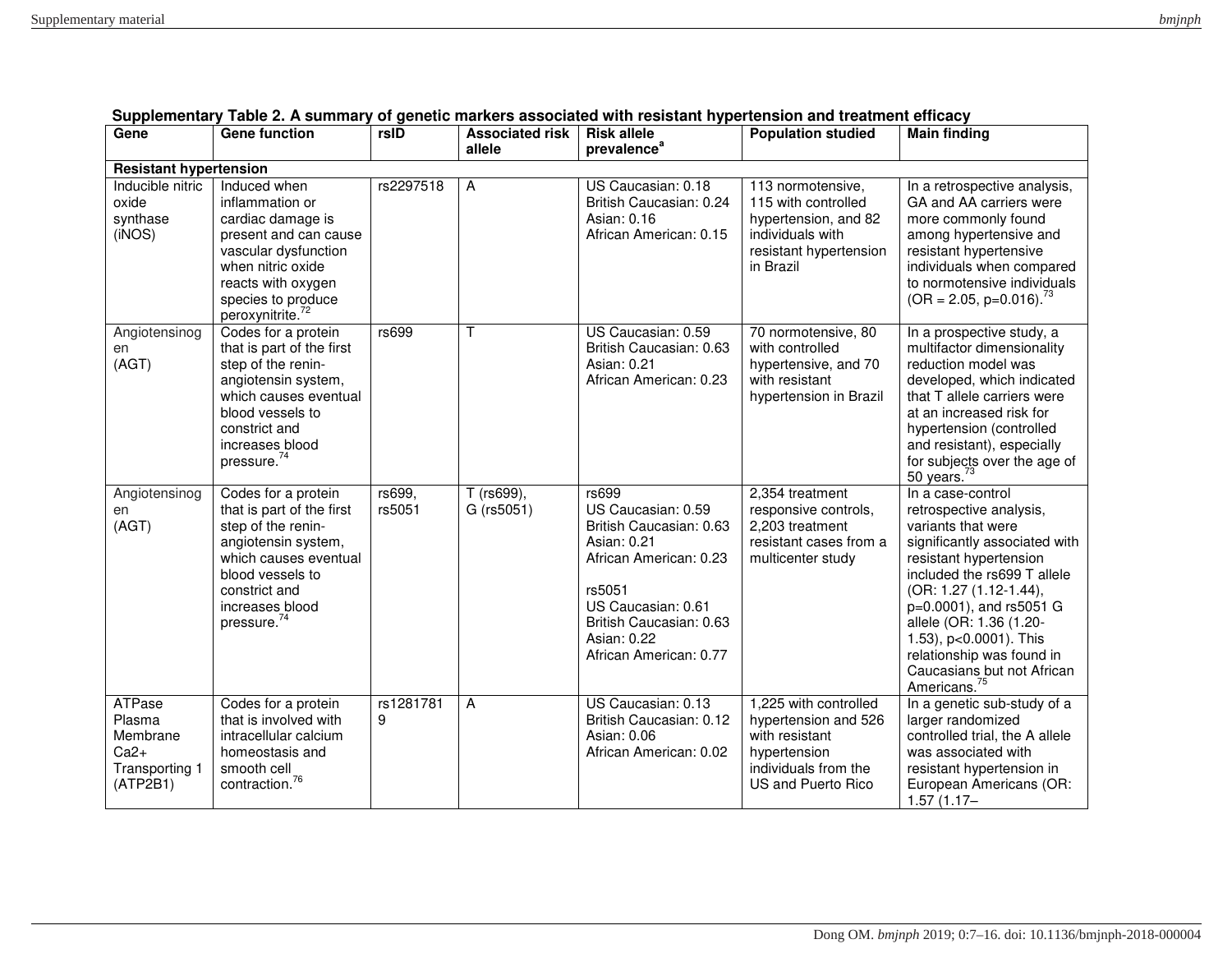| Gene                                                                 | <b>Gene function</b>                                                                                                                                                                                      | rsID             | <b>Associated risk</b><br>allele | <b>Risk allele</b><br>prevalence <sup>a</sup>                                                                                                                                                       | <b>Population studied</b>                                                                                                     | <b>Main finding</b>                                                                                                                                                                                                                                                                                                                                           |  |  |
|----------------------------------------------------------------------|-----------------------------------------------------------------------------------------------------------------------------------------------------------------------------------------------------------|------------------|----------------------------------|-----------------------------------------------------------------------------------------------------------------------------------------------------------------------------------------------------|-------------------------------------------------------------------------------------------------------------------------------|---------------------------------------------------------------------------------------------------------------------------------------------------------------------------------------------------------------------------------------------------------------------------------------------------------------------------------------------------------------|--|--|
| <b>Resistant hypertension</b>                                        |                                                                                                                                                                                                           |                  |                                  |                                                                                                                                                                                                     |                                                                                                                               |                                                                                                                                                                                                                                                                                                                                                               |  |  |
| Inducible nitric<br>oxide<br>synthase<br>(iNOS)                      | Induced when<br>inflammation or<br>cardiac damage is<br>present and can cause<br>vascular dysfunction<br>when nitric oxide<br>reacts with oxygen<br>species to produce<br>peroxynitrite. <sup>72</sup>    | rs2297518        | A                                | US Caucasian: 0.18<br>British Caucasian: 0.24<br>Asian: 0.16<br>African American: 0.15                                                                                                              | 113 normotensive,<br>115 with controlled<br>hypertension, and 82<br>individuals with<br>resistant hypertension<br>in Brazil   | In a retrospective analysis,<br>GA and AA carriers were<br>more commonly found<br>among hypertensive and<br>resistant hypertensive<br>individuals when compared<br>to normotensive individuals<br>$(OR = 2.05, p=0.016).^{73}$                                                                                                                                |  |  |
| Angiotensinog<br>en<br>(AGT)                                         | Codes for a protein<br>that is part of the first<br>step of the renin-<br>angiotensin system,<br>which causes eventual<br>blood vessels to<br>constrict and<br>increases blood<br>pressure. <sup>74</sup> | rs699            | $\mathsf{T}$                     | US Caucasian: 0.59<br>British Caucasian: 0.63<br>Asian: 0.21<br>African American: 0.23                                                                                                              | 70 normotensive, 80<br>with controlled<br>hypertensive, and 70<br>with resistant<br>hypertension in Brazil                    | In a prospective study, a<br>multifactor dimensionality<br>reduction model was<br>developed, which indicated<br>that T allele carriers were<br>at an increased risk for<br>hypertension (controlled<br>and resistant), especially<br>for subjects over the age of<br>50 years. $73$                                                                           |  |  |
| Angiotensinog<br>en<br>(AGT)                                         | Codes for a protein<br>that is part of the first<br>step of the renin-<br>angiotensin system,<br>which causes eventual<br>blood vessels to<br>constrict and<br>increases blood<br>pressure. <sup>74</sup> | rs699,<br>rs5051 | T (rs699),<br>G (rs5051)         | rs699<br>US Caucasian: 0.59<br>British Caucasian: 0.63<br>Asian: 0.21<br>African American: 0.23<br>rs5051<br>US Caucasian: 0.61<br>British Caucasian: 0.63<br>Asian: 0.22<br>African American: 0.77 | 2,354 treatment<br>responsive controls,<br>2,203 treatment<br>resistant cases from a<br>multicenter study                     | In a case-control<br>retrospective analysis,<br>variants that were<br>significantly associated with<br>resistant hypertension<br>included the rs699 T allele<br>(OR: 1.27 (1.12-1.44),<br>p=0.0001), and rs5051 G<br>allele (OR: 1.36 (1.20-<br>1.53), p<0.0001). This<br>relationship was found in<br>Caucasians but not African<br>Americans. <sup>75</sup> |  |  |
| ATPase<br>Plasma<br>Membrane<br>$Ca2+$<br>Transporting 1<br>(ATP2B1) | Codes for a protein<br>that is involved with<br>intracellular calcium<br>homeostasis and<br>smooth cell<br>contraction. $76$                                                                              | rs1281781<br>9   | A                                | US Caucasian: 0.13<br>British Caucasian: 0.12<br>Asian: 0.06<br>African American: 0.02                                                                                                              | 1,225 with controlled<br>hypertension and 526<br>with resistant<br>hypertension<br>individuals from the<br>US and Puerto Rico | In a genetic sub-study of a<br>larger randomized<br>controlled trial, the A allele<br>was associated with<br>resistant hypertension in<br>European Americans (OR:<br>$1.57(1.17 -$                                                                                                                                                                            |  |  |

# **Supplementary Table 2. A summary of genetic markers associated with resistant hypertension and treatment efficacy**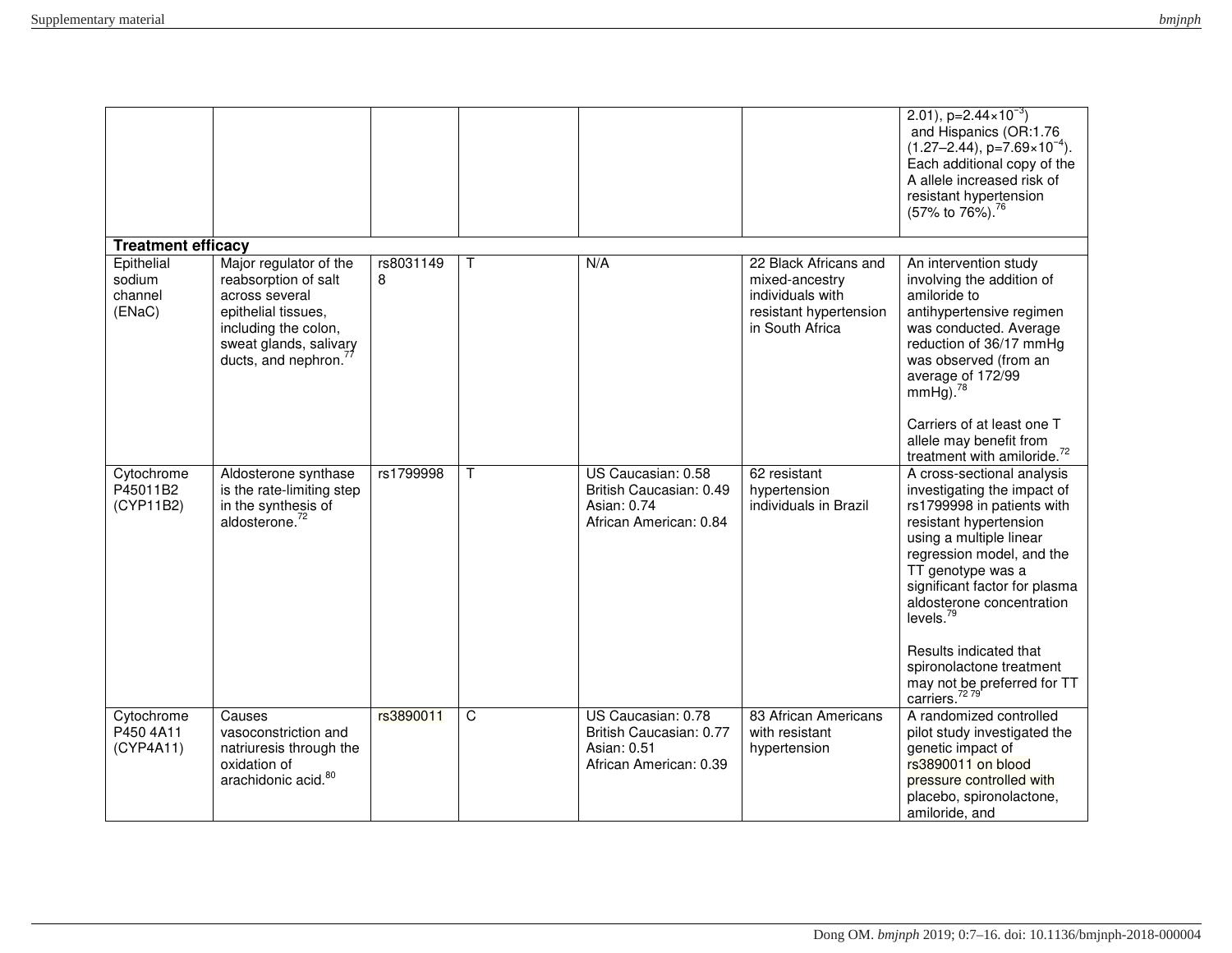| bmjnph |
|--------|
|--------|

|                                           |                                                                                                                                                                  |           |   |                                                                                        |                                                                                                          | 2.01), $p=2.44\times10^{-3}$<br>and Hispanics (OR:1.76<br>$(1.27-2.44)$ , p=7.69×10 <sup>-4</sup> ).<br>Each additional copy of the<br>A allele increased risk of<br>resistant hypertension<br>(57% to 76%). <sup>76</sup>                                                                                                                                                                              |
|-------------------------------------------|------------------------------------------------------------------------------------------------------------------------------------------------------------------|-----------|---|----------------------------------------------------------------------------------------|----------------------------------------------------------------------------------------------------------|---------------------------------------------------------------------------------------------------------------------------------------------------------------------------------------------------------------------------------------------------------------------------------------------------------------------------------------------------------------------------------------------------------|
| <b>Treatment efficacy</b>                 |                                                                                                                                                                  | rs8031149 |   | N/A                                                                                    |                                                                                                          |                                                                                                                                                                                                                                                                                                                                                                                                         |
| Epithelial<br>sodium<br>channel<br>(ENaC) | Major regulator of the<br>reabsorption of salt<br>across several<br>epithelial tissues,<br>including the colon,<br>sweat glands, salivary<br>ducts, and nephron. | 8         | T |                                                                                        | 22 Black Africans and<br>mixed-ancestry<br>individuals with<br>resistant hypertension<br>in South Africa | An intervention study<br>involving the addition of<br>amiloride to<br>antihypertensive regimen<br>was conducted. Average<br>reduction of 36/17 mmHg<br>was observed (from an<br>average of 172/99<br>$mmHg$ ). <sup>78</sup><br>Carriers of at least one T<br>allele may benefit from<br>treatment with amiloride. <sup>72</sup>                                                                        |
| Cytochrome<br>P45011B2<br>(CYP11B2)       | Aldosterone synthase<br>is the rate-limiting step<br>in the synthesis of<br>aldosterone. <sup>72</sup>                                                           | rs1799998 | T | US Caucasian: 0.58<br>British Caucasian: 0.49<br>Asian: 0.74<br>African American: 0.84 | 62 resistant<br>hypertension<br>individuals in Brazil                                                    | A cross-sectional analysis<br>investigating the impact of<br>rs1799998 in patients with<br>resistant hypertension<br>using a multiple linear<br>regression model, and the<br>TT genotype was a<br>significant factor for plasma<br>aldosterone concentration<br>levels. <sup>79</sup><br>Results indicated that<br>spironolactone treatment<br>may not be preferred for TT<br>carriers. <sup>7279</sup> |
| Cytochrome<br>P450 4A11<br>(CYP4A11)      | Causes<br>vasoconstriction and<br>natriuresis through the<br>oxidation of<br>arachidonic acid. <sup>80</sup>                                                     | rs3890011 | C | US Caucasian: 0.78<br>British Caucasian: 0.77<br>Asian: 0.51<br>African American: 0.39 | 83 African Americans<br>with resistant<br>hypertension                                                   | A randomized controlled<br>pilot study investigated the<br>genetic impact of<br>rs3890011 on blood<br>pressure controlled with<br>placebo, spironolactone,<br>amiloride, and                                                                                                                                                                                                                            |